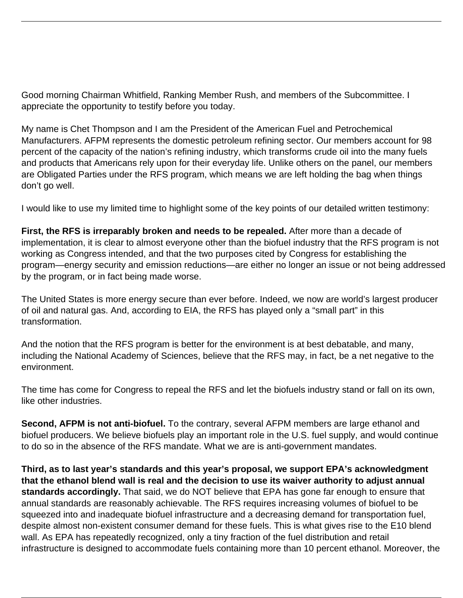<span id="page-0-0"></span>Good morning Chairman Whitfield, Ranking Member Rush, and members of the Subcommittee. I appreciate the opportunity to testify before you today.

My name is Chet Thompson and I am the President of the American Fuel and Petrochemical Manufacturers. AFPM represents the domestic petroleum refining sector. Our members account for 98 percent of the capacity of the nation's refining industry, which transforms crude oil into the many fuels and products that Americans rely upon for their everyday life. Unlike others on the panel, our members are Obligated Parties under the RFS program, which means we are left holding the bag when things don't go well.

I would like to use my limited time to highlight some of the key points of our detailed written testimony:

**First, the RFS is irreparably broken and needs to be repealed.** After more than a decade of implementation, it is clear to almost everyone other than the biofuel industry that the RFS program is not working as Congress intended, and that the two purposes cited by Congress for establishing the program—energy security and emission reductions—are either no longer an issue or not being addressed by the program, or in fact being made worse.

The United States is more energy secure than ever before. Indeed, we now are world's largest producer of oil and natural gas. And, according to EIA, the RFS has played only a "small part" in this transformation.

And the notion that the RFS program is better for the environment is at best debatable, and many, including the National Academy of Sciences, believe that the RFS may, in fact, be a net negative to the environment.

The time has come for Congress to repeal the RFS and let the biofuels industry stand or fall on its own, like other industries.

**Second, AFPM is not anti-biofuel.** To the contrary, several AFPM members are large ethanol and biofuel producers. We believe biofuels play an important role in the U.S. fuel supply, and would continue to do so in the absence of the RFS mandate. What we are is anti-government mandates.

**Third, as to last year's standards and this year's proposal, we support EPA's acknowledgment that the ethanol blend wall is real and the decision to use its waiver authority to adjust annual standards accordingly.** That said, we do NOT believe that EPA has gone far enough to ensure that annual standards are reasonably achievable. The RFS requires increasing volumes of biofuel to be squeezed into and inadequate biofuel infrastructure and a decreasing demand for transportation fuel, despite almost non-existent consumer demand for these fuels. This is what gives rise to the E10 blend wall. As EPA has repeatedly recognized, only a tiny fraction of the fuel distribution and retail infrastructure is designed to accommodate fuels containing more than 10 percent ethanol. Moreover, the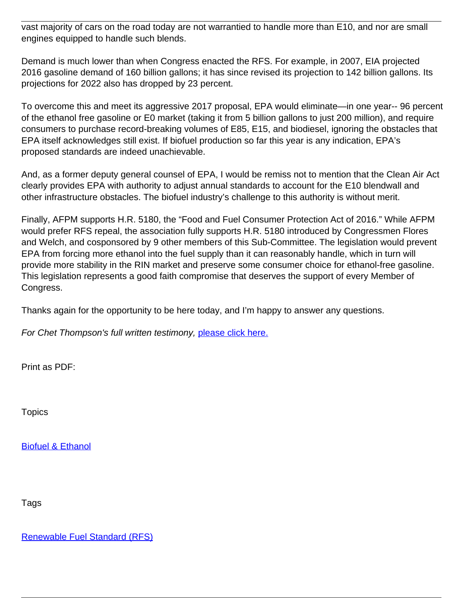vast majority of cars on the road today are not warrantied to handle more than E10, and nor are small engines equipped to handle such blends.

Demand is much lower than when Congress enacted the RFS. For example, in 2007, EIA projected 2016 gasoline demand of 160 billion gallons; it has since revised its projection to 142 billion gallons. Its projections for 2022 also has dropped by 23 percent.

To overcome this and meet its aggressive 2017 proposal, EPA would eliminate—in one year-- 96 percent of the ethanol free gasoline or E0 market (taking it from 5 billion gallons to just 200 million), and require consumers to purchase record-breaking volumes of E85, E15, and biodiesel, ignoring the obstacles that EPA itself acknowledges still exist. If biofuel production so far this year is any indication, EPA's proposed standards are indeed unachievable.

And, as a former deputy general counsel of EPA, I would be remiss not to mention that the Clean Air Act clearly provides EPA with authority to adjust annual standards to account for the E10 blendwall and other infrastructure obstacles. The biofuel industry's challenge to this authority is without merit.

Finally, AFPM supports H.R. 5180, the "Food and Fuel Consumer Protection Act of 2016." While AFPM would prefer RFS repeal, the association fully supports H.R. 5180 introduced by Congressmen Flores and Welch, and cosponsored by 9 other members of this Sub-Committee. The legislation would prevent EPA from forcing more ethanol into the fuel supply than it can reasonably handle, which in turn will provide more stability in the RIN market and preserve some consumer choice for ethanol-free gasoline. This legislation represents a good faith compromise that deserves the support of every Member of Congress.

Thanks again for the opportunity to be here today, and I'm happy to answer any questions.

For Chet Thompson's full written testimony, [please click here](#page-0-0)[.](https://www.afpm.org/uploadedFiles/Content/documents/20160620%20AFPM%20Written%20Testimony.pdf)

Print as PDF:

**Topics** 

[Biofuel & Ethanol](/topic/biofuel-ethanol)

Tags

[Renewable Fuel Standard \(RFS\)](/tag/renewable-fuel-standard-rfs)